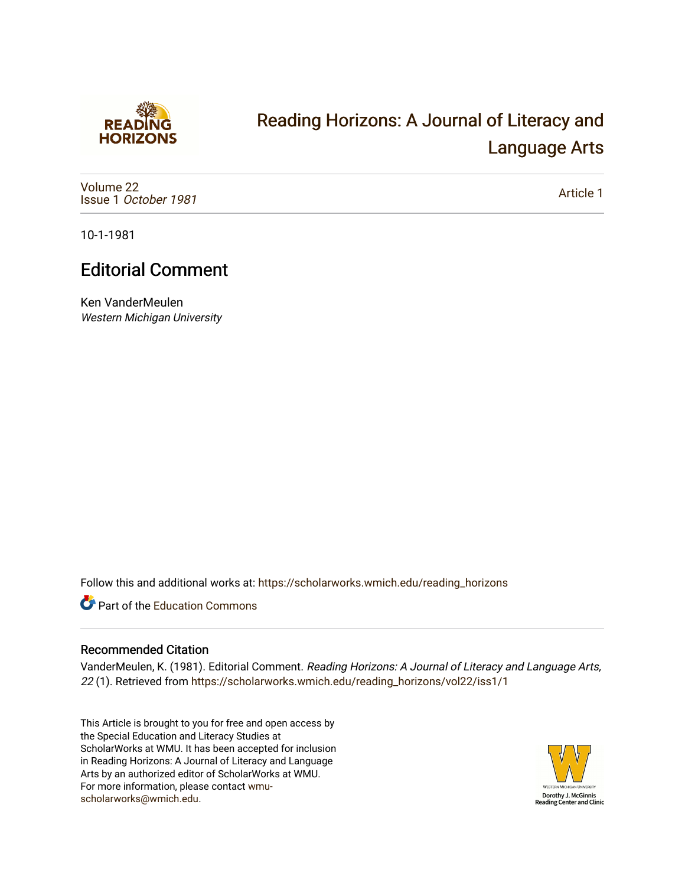

## [Reading Horizons: A Journal of Literacy and](https://scholarworks.wmich.edu/reading_horizons)  [Language Arts](https://scholarworks.wmich.edu/reading_horizons)

[Volume 22](https://scholarworks.wmich.edu/reading_horizons/vol22) Issue 1 [October 1981](https://scholarworks.wmich.edu/reading_horizons/vol22/iss1)

[Article 1](https://scholarworks.wmich.edu/reading_horizons/vol22/iss1/1) 

10-1-1981

## Editorial Comment

Ken VanderMeulen Western Michigan University

Follow this and additional works at: [https://scholarworks.wmich.edu/reading\\_horizons](https://scholarworks.wmich.edu/reading_horizons?utm_source=scholarworks.wmich.edu%2Freading_horizons%2Fvol22%2Fiss1%2F1&utm_medium=PDF&utm_campaign=PDFCoverPages)

Part of the [Education Commons](http://network.bepress.com/hgg/discipline/784?utm_source=scholarworks.wmich.edu%2Freading_horizons%2Fvol22%2Fiss1%2F1&utm_medium=PDF&utm_campaign=PDFCoverPages)

## Recommended Citation

VanderMeulen, K. (1981). Editorial Comment. Reading Horizons: A Journal of Literacy and Language Arts, 22 (1). Retrieved from [https://scholarworks.wmich.edu/reading\\_horizons/vol22/iss1/1](https://scholarworks.wmich.edu/reading_horizons/vol22/iss1/1?utm_source=scholarworks.wmich.edu%2Freading_horizons%2Fvol22%2Fiss1%2F1&utm_medium=PDF&utm_campaign=PDFCoverPages) 

This Article is brought to you for free and open access by the Special Education and Literacy Studies at ScholarWorks at WMU. It has been accepted for inclusion in Reading Horizons: A Journal of Literacy and Language Arts by an authorized editor of ScholarWorks at WMU. For more information, please contact [wmu](mailto:wmu-scholarworks@wmich.edu)[scholarworks@wmich.edu.](mailto:wmu-scholarworks@wmich.edu)

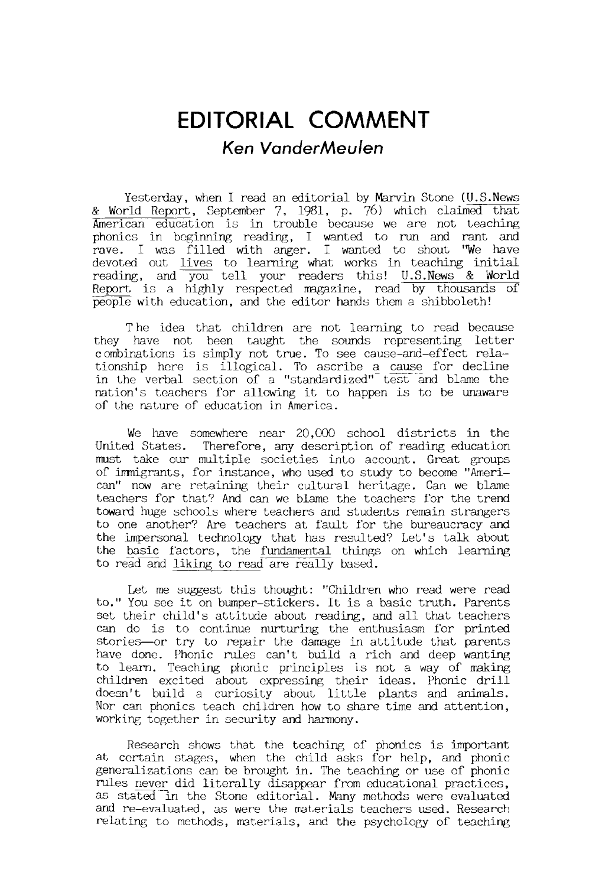## **EDITORIAL COMMENT**  *Ken VanderMeulen*

Yesterday, when I read an editorial by Marvin Stone (U.S.News & World Report, September 7, 1981, **p.** 76) which claimed that American education is in trouble because we are not teaching phonics in beginning reading, I wanted to run and rant and rave. I was filled with anger. I wanted to shout ''We have devoted out lives to learning what works in teaching initial reading, and you tell your readers this! U.S. News & World Report is a highly respected magazine, read by thousands of people with education, and the editor hands them a shibboleth!

T he idea that children are not learning to read because they have not been taught the sounds representing letter combinations is simply not true. To see cause-and-effect relationship here is illogical. To ascribe a cause for decline in the verbal section of a "standardized" test and blame the nation's teachers for allowing it to happen is to be unaware of the nature of education in America.

We have somewhere near 20,000 school districts in the United States. Therefore, any description of reading education must take our multiple societies into account. Great groups of immigrants, for instance, who used to study to become "American" now are retaining their cultural heritage. Can we blame teachers for that? And can we blame the teachers for the trend toward huge schools where teachers and students remain strangers to one another? Are teachers at fault for the bureaucracy and the impersonal technology that has resulted? Let's talk about the basic factors, the fundamental things on which learning to read and liking to read are really based.

Let me suggest this thought: "Children who read were read to." You see it on bumper-stickers. It is a basic truth. Parents set their child's attitude about reading, and all that teachers can do is to continue nurturing the enthusiasm for printed stories-or try to repair the damage in attitude that parents have done. Phonic rules can't build a rich and deep wanting to learn. Teaching phonic principles is not a way of making children exci ted about expressing their ideas. Phonic drill doesn't build a curiosity about little plants and animals. Nor can phonics teach children how to share time and attention, working together in security and harmony.

Research shows that the teaching of phonics is important at certain stages, when the child asks for help, and phonic generalizations can be brought in. The teaching or use of phonic rules never did literally disappear from educational practices, as stated in the Stone editorial. Many methods were evaluated and re-evaluated, as were the materials teachers used. Research relating to methods, materials, and the psychology of teaching